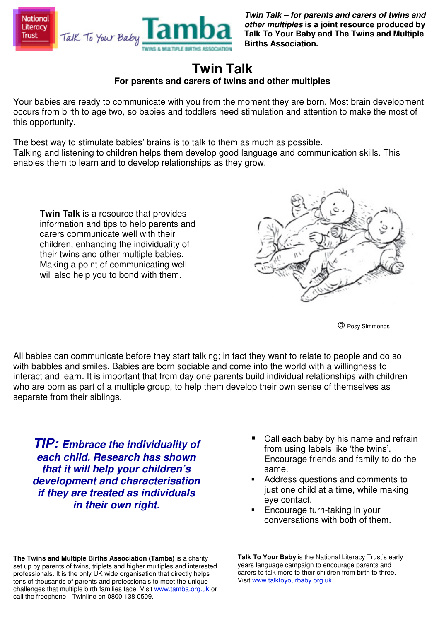

**Twin Talk – for parents and carers of twins and other multiples is a joint resource produced by Talk To Your Baby and The Twins and Multiple Births Association.** 

## **Twin Talk For parents and carers of twins and other multiples**

Your babies are ready to communicate with you from the moment they are born. Most brain development occurs from birth to age two, so babies and toddlers need stimulation and attention to make the most of this opportunity.

The best way to stimulate babies' brains is to talk to them as much as possible. Talking and listening to children helps them develop good language and communication skills. This enables them to learn and to develop relationships as they grow.

**Twin Talk** is a resource that provides information and tips to help parents and carers communicate well with their children, enhancing the individuality of their twins and other multiple babies. Making a point of communicating well will also help you to bond with them.



© Posy Simmonds

All babies can communicate before they start talking; in fact they want to relate to people and do so with babbles and smiles. Babies are born sociable and come into the world with a willingness to interact and learn. It is important that from day one parents build individual relationships with children who are born as part of a multiple group, to help them develop their own sense of themselves as separate from their siblings.

**TIP: Embrace the individuality of each child. Research has shown that it will help your children's development and characterisation if they are treated as individuals in their own right.** 

**The Twins and Multiple Births Association (Tamba)** is a charity set up by parents of twins, triplets and higher multiples and interested professionals. It is the only UK wide organisation that directly helps tens of thousands of parents and professionals to meet the unique challenges that multiple birth families face. Visit www.tamba.org.uk or call the freephone - Twinline on 0800 138 0509.

- Call each baby by his name and refrain from using labels like 'the twins'. Encourage friends and family to do the same.
- Address questions and comments to just one child at a time, while making eye contact.
- Encourage turn-taking in your conversations with both of them.

**Talk To Your Baby** is the National Literacy Trust's early years language campaign to encourage parents and carers to talk more to their children from birth to three. Visit www.talktoyourbaby.org.uk.